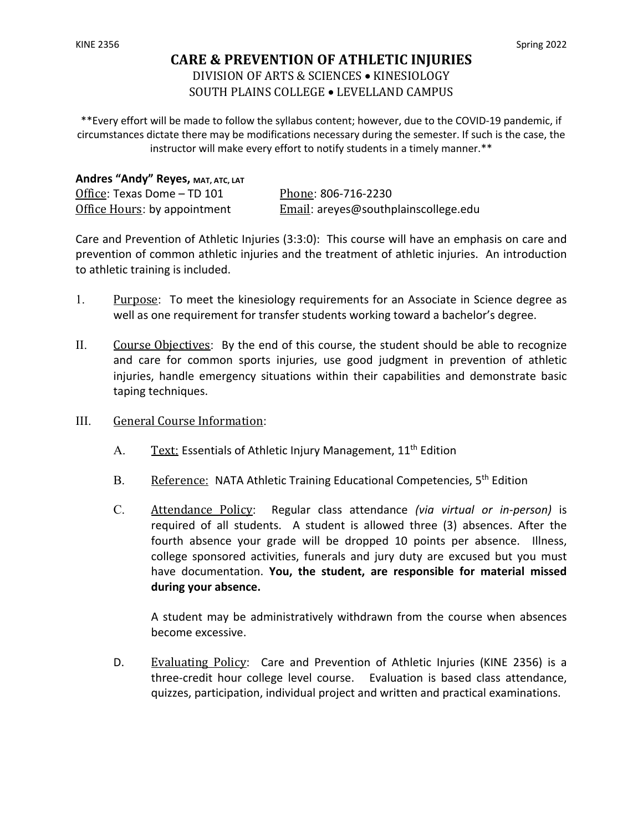## **CARE & PREVENTION OF ATHLETIC INJURIES**

## DIVISION OF ARTS & SCIENCES • KINESIOLOGY SOUTH PLAINS COLLEGE • LEVELLAND CAMPUS

\*\*Every effort will be made to follow the syllabus content; however, due to the COVID-19 pandemic, if circumstances dictate there may be modifications necessary during the semester. If such is the case, the instructor will make every effort to notify students in a timely manner.\*\*

| Andres "Andy" Reyes, MAT, ATC, LAT |                                      |
|------------------------------------|--------------------------------------|
| Office: Texas Dome - TD 101        | Phone: 806-716-2230                  |
| Office Hours: by appointment       | Email: areyes@southplainscollege.edu |

Care and Prevention of Athletic Injuries (3:3:0): This course will have an emphasis on care and prevention of common athletic injuries and the treatment of athletic injuries. An introduction to athletic training is included.

- 1. Purpose: To meet the kinesiology requirements for an Associate in Science degree as well as one requirement for transfer students working toward a bachelor's degree.
- II. Course Objectives: By the end of this course, the student should be able to recognize and care for common sports injuries, use good judgment in prevention of athletic injuries, handle emergency situations within their capabilities and demonstrate basic taping techniques.
- III. General Course Information:
	- A. Text: Essentials of Athletic Injury Management, 11<sup>th</sup> Edition
	- B. Reference: NATA Athletic Training Educational Competencies, 5<sup>th</sup> Edition
	- C. Attendance Policy: Regular class attendance *(via virtual or in-person)* is required of all students. A student is allowed three (3) absences. After the fourth absence your grade will be dropped 10 points per absence. Illness, college sponsored activities, funerals and jury duty are excused but you must have documentation. **You, the student, are responsible for material missed during your absence.**

A student may be administratively withdrawn from the course when absences become excessive.

D. Evaluating Policy: Care and Prevention of Athletic Injuries (KINE 2356) is a three-credit hour college level course. Evaluation is based class attendance, quizzes, participation, individual project and written and practical examinations.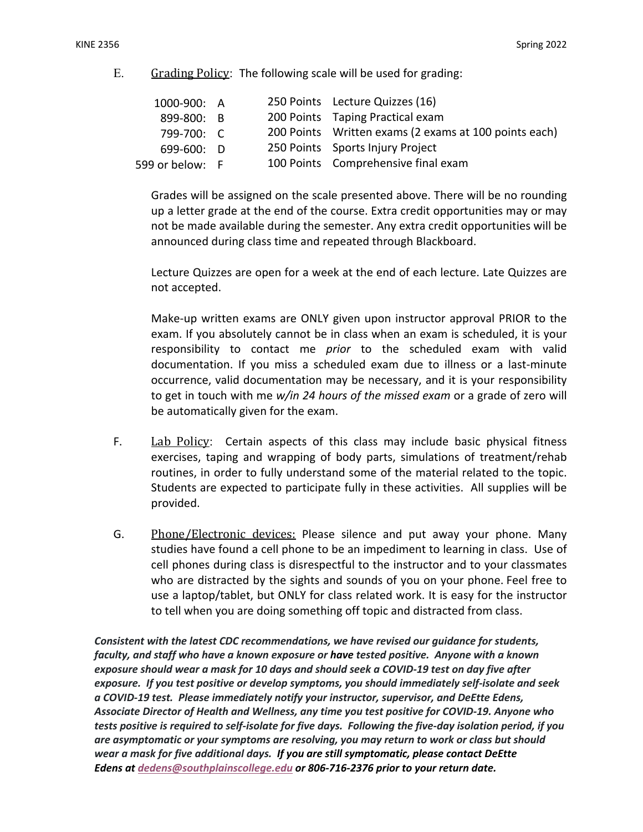E. Grading Policy: The following scale will be used for grading:

| 1000-900: A     |  | 250 Points Lecture Quizzes (16)                       |
|-----------------|--|-------------------------------------------------------|
| 899-800: B      |  | 200 Points Taping Practical exam                      |
| 799-700: C      |  | 200 Points Written exams (2 exams at 100 points each) |
| 699-600: D      |  | 250 Points Sports Injury Project                      |
| 599 or below: F |  | 100 Points Comprehensive final exam                   |

Grades will be assigned on the scale presented above. There will be no rounding up a letter grade at the end of the course. Extra credit opportunities may or may not be made available during the semester. Any extra credit opportunities will be announced during class time and repeated through Blackboard.

Lecture Quizzes are open for a week at the end of each lecture. Late Quizzes are not accepted.

Make-up written exams are ONLY given upon instructor approval PRIOR to the exam. If you absolutely cannot be in class when an exam is scheduled, it is your responsibility to contact me *prior* to the scheduled exam with valid documentation. If you miss a scheduled exam due to illness or a last-minute occurrence, valid documentation may be necessary, and it is your responsibility to get in touch with me *w/in 24 hours of the missed exam* or a grade of zero will be automatically given for the exam.

- F. Lab Policy: Certain aspects of this class may include basic physical fitness exercises, taping and wrapping of body parts, simulations of treatment/rehab routines, in order to fully understand some of the material related to the topic. Students are expected to participate fully in these activities. All supplies will be provided.
- G. Phone/Electronic devices: Please silence and put away your phone. Many studies have found a cell phone to be an impediment to learning in class. Use of cell phones during class is disrespectful to the instructor and to your classmates who are distracted by the sights and sounds of you on your phone. Feel free to use a laptop/tablet, but ONLY for class related work. It is easy for the instructor to tell when you are doing something off topic and distracted from class.

*Consistent with the latest CDC recommendations, we have revised our guidance for students, faculty, and staff who have a known exposure or have tested positive. Anyone with a known exposure should wear a mask for 10 days and should seek a COVID-19 test on day five after exposure. If you test positive or develop symptoms, you should immediately self-isolate and seek a COVID-19 test. Please immediately notify your instructor, supervisor, and DeEtte Edens, Associate Director of Health and Wellness, any time you test positive for COVID-19. Anyone who tests positive is required to self-isolate for five days. Following the five-day isolation period, if you are asymptomatic or your symptoms are resolving, you may return to work or class but should wear a mask for five additional days. If you are still symptomatic, please contact DeEtte Edens at dedens@southplainscollege.edu or 806-716-2376 prior to your return date.*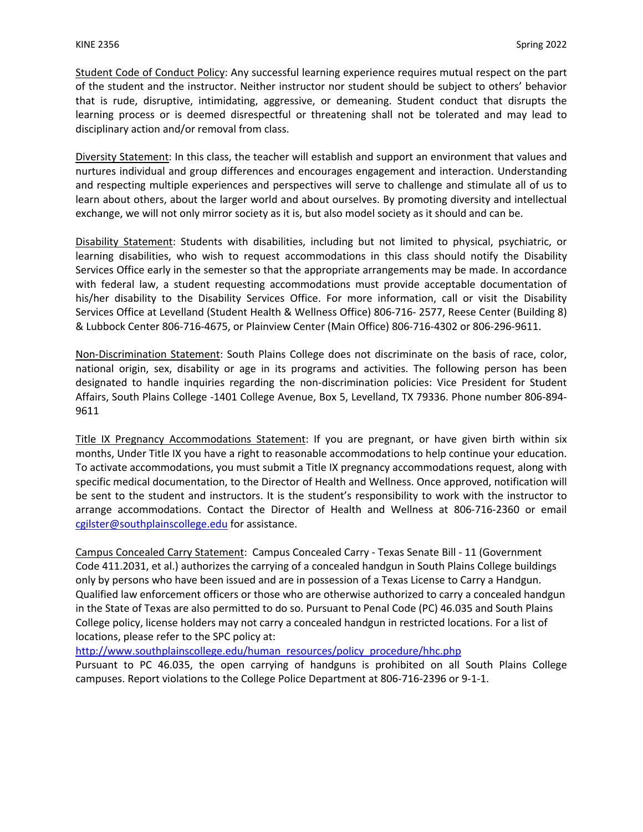Student Code of Conduct Policy: Any successful learning experience requires mutual respect on the part of the student and the instructor. Neither instructor nor student should be subject to others' behavior that is rude, disruptive, intimidating, aggressive, or demeaning. Student conduct that disrupts the learning process or is deemed disrespectful or threatening shall not be tolerated and may lead to disciplinary action and/or removal from class.

Diversity Statement: In this class, the teacher will establish and support an environment that values and nurtures individual and group differences and encourages engagement and interaction. Understanding and respecting multiple experiences and perspectives will serve to challenge and stimulate all of us to learn about others, about the larger world and about ourselves. By promoting diversity and intellectual exchange, we will not only mirror society as it is, but also model society as it should and can be.

Disability Statement: Students with disabilities, including but not limited to physical, psychiatric, or learning disabilities, who wish to request accommodations in this class should notify the Disability Services Office early in the semester so that the appropriate arrangements may be made. In accordance with federal law, a student requesting accommodations must provide acceptable documentation of his/her disability to the Disability Services Office. For more information, call or visit the Disability Services Office at Levelland (Student Health & Wellness Office) 806-716- 2577, Reese Center (Building 8) & Lubbock Center 806-716-4675, or Plainview Center (Main Office) 806-716-4302 or 806-296-9611.

Non-Discrimination Statement: South Plains College does not discriminate on the basis of race, color, national origin, sex, disability or age in its programs and activities. The following person has been designated to handle inquiries regarding the non-discrimination policies: Vice President for Student Affairs, South Plains College -1401 College Avenue, Box 5, Levelland, TX 79336. Phone number 806-894- 9611

Title IX Pregnancy Accommodations Statement: If you are pregnant, or have given birth within six months, Under Title IX you have a right to reasonable accommodations to help continue your education. To activate accommodations, you must submit a Title IX pregnancy accommodations request, along with specific medical documentation, to the Director of Health and Wellness. Once approved, notification will be sent to the student and instructors. It is the student's responsibility to work with the instructor to arrange accommodations. Contact the Director of Health and Wellness at 806-716-2360 or email cgilster@southplainscollege.edu for assistance.

Campus Concealed Carry Statement: Campus Concealed Carry - Texas Senate Bill - 11 (Government Code 411.2031, et al.) authorizes the carrying of a concealed handgun in South Plains College buildings only by persons who have been issued and are in possession of a Texas License to Carry a Handgun. Qualified law enforcement officers or those who are otherwise authorized to carry a concealed handgun in the State of Texas are also permitted to do so. Pursuant to Penal Code (PC) 46.035 and South Plains College policy, license holders may not carry a concealed handgun in restricted locations. For a list of locations, please refer to the SPC policy at:

http://www.southplainscollege.edu/human\_resources/policy\_procedure/hhc.php

Pursuant to PC 46.035, the open carrying of handguns is prohibited on all South Plains College campuses. Report violations to the College Police Department at 806-716-2396 or 9-1-1.